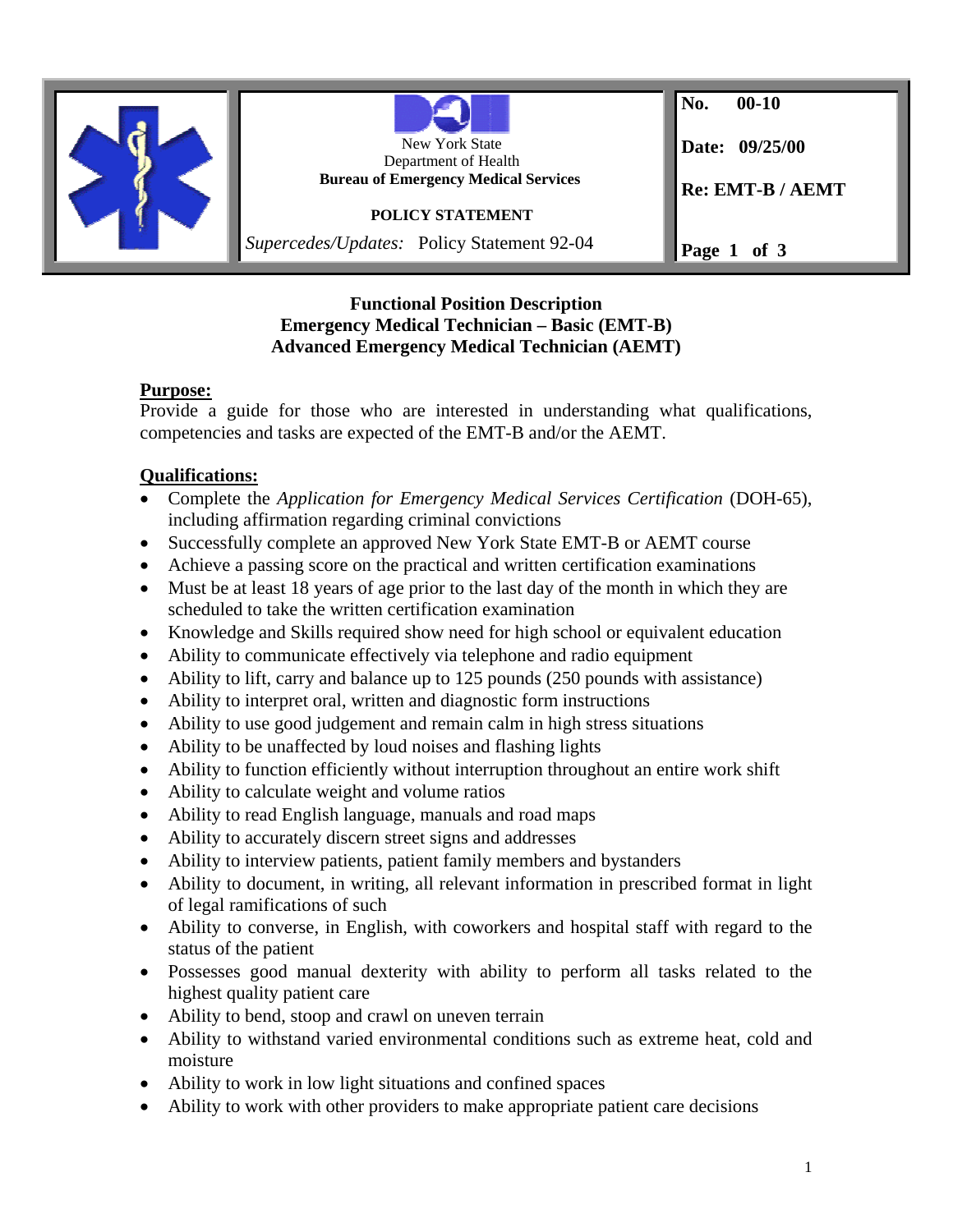

### **Functional Position Description Emergency Medical Technician – Basic (EMT-B) Advanced Emergency Medical Technician (AEMT)**

# **Purpose:**

Provide a guide for those who are interested in understanding what qualifications, competencies and tasks are expected of the EMT-B and/or the AEMT.

# **Qualifications:**

- Complete the *Application for Emergency Medical Services Certification* (DOH-65), including affirmation regarding criminal convictions
- Successfully complete an approved New York State EMT-B or AEMT course
- Achieve a passing score on the practical and written certification examinations
- Must be at least 18 years of age prior to the last day of the month in which they are scheduled to take the written certification examination
- Knowledge and Skills required show need for high school or equivalent education
- Ability to communicate effectively via telephone and radio equipment
- Ability to lift, carry and balance up to 125 pounds (250 pounds with assistance)
- Ability to interpret oral, written and diagnostic form instructions
- Ability to use good judgement and remain calm in high stress situations
- Ability to be unaffected by loud noises and flashing lights
- Ability to function efficiently without interruption throughout an entire work shift
- Ability to calculate weight and volume ratios
- Ability to read English language, manuals and road maps
- Ability to accurately discern street signs and addresses
- Ability to interview patients, patient family members and bystanders
- Ability to document, in writing, all relevant information in prescribed format in light of legal ramifications of such
- Ability to converse, in English, with coworkers and hospital staff with regard to the status of the patient
- Possesses good manual dexterity with ability to perform all tasks related to the highest quality patient care
- Ability to bend, stoop and crawl on uneven terrain
- Ability to withstand varied environmental conditions such as extreme heat, cold and moisture
- Ability to work in low light situations and confined spaces
- Ability to work with other providers to make appropriate patient care decisions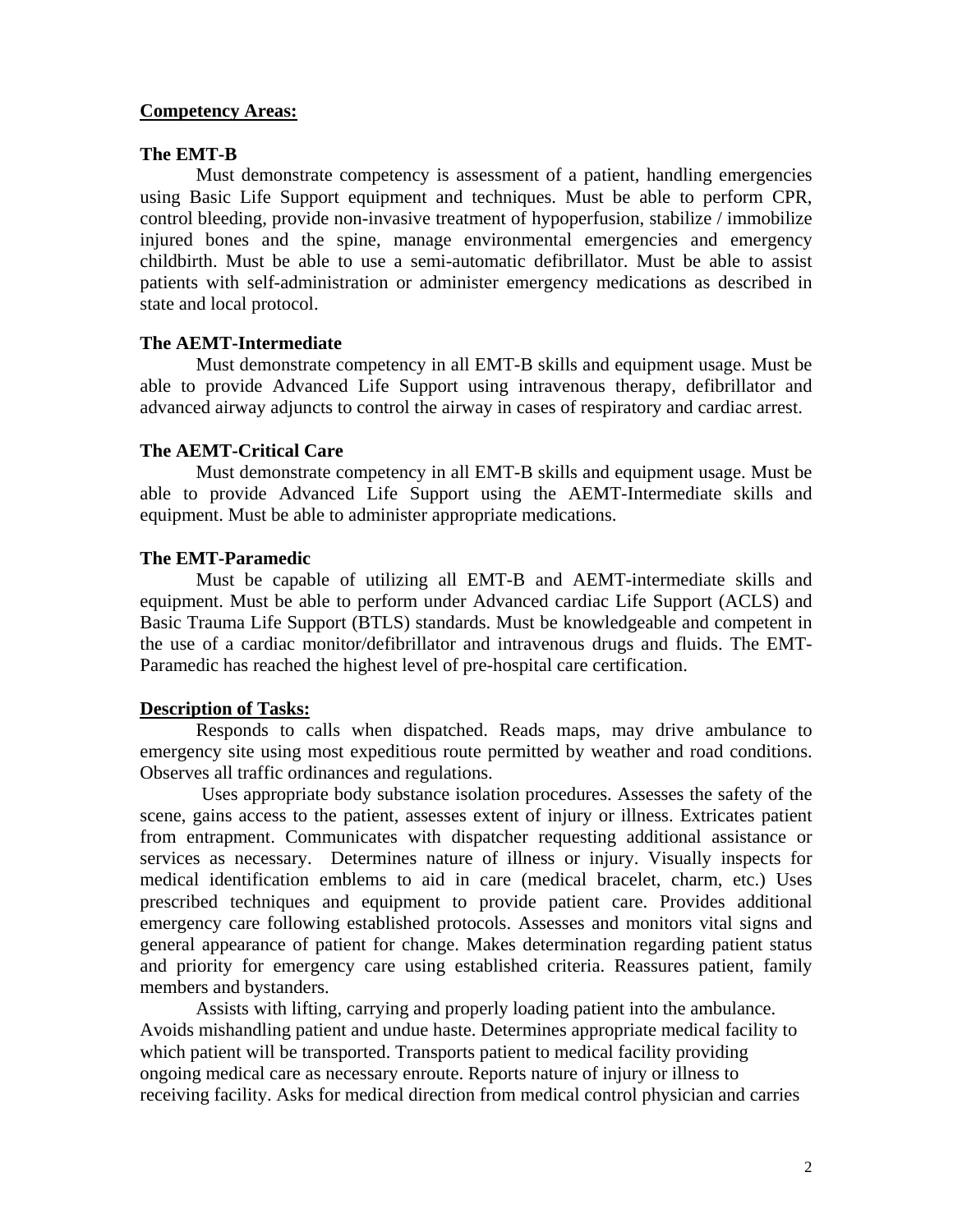### **Competency Areas:**

### **The EMT-B**

Must demonstrate competency is assessment of a patient, handling emergencies using Basic Life Support equipment and techniques. Must be able to perform CPR, control bleeding, provide non-invasive treatment of hypoperfusion, stabilize / immobilize injured bones and the spine, manage environmental emergencies and emergency childbirth. Must be able to use a semi-automatic defibrillator. Must be able to assist patients with self-administration or administer emergency medications as described in state and local protocol.

### **The AEMT-Intermediate**

Must demonstrate competency in all EMT-B skills and equipment usage. Must be able to provide Advanced Life Support using intravenous therapy, defibrillator and advanced airway adjuncts to control the airway in cases of respiratory and cardiac arrest.

### **The AEMT-Critical Care**

Must demonstrate competency in all EMT-B skills and equipment usage. Must be able to provide Advanced Life Support using the AEMT-Intermediate skills and equipment. Must be able to administer appropriate medications.

### **The EMT-Paramedic**

Must be capable of utilizing all EMT-B and AEMT-intermediate skills and equipment. Must be able to perform under Advanced cardiac Life Support (ACLS) and Basic Trauma Life Support (BTLS) standards. Must be knowledgeable and competent in the use of a cardiac monitor/defibrillator and intravenous drugs and fluids. The EMT-Paramedic has reached the highest level of pre-hospital care certification.

#### **Description of Tasks:**

Responds to calls when dispatched. Reads maps, may drive ambulance to emergency site using most expeditious route permitted by weather and road conditions. Observes all traffic ordinances and regulations.

 Uses appropriate body substance isolation procedures. Assesses the safety of the scene, gains access to the patient, assesses extent of injury or illness. Extricates patient from entrapment. Communicates with dispatcher requesting additional assistance or services as necessary. Determines nature of illness or injury. Visually inspects for medical identification emblems to aid in care (medical bracelet, charm, etc.) Uses prescribed techniques and equipment to provide patient care. Provides additional emergency care following established protocols. Assesses and monitors vital signs and general appearance of patient for change. Makes determination regarding patient status and priority for emergency care using established criteria. Reassures patient, family members and bystanders.

Assists with lifting, carrying and properly loading patient into the ambulance. Avoids mishandling patient and undue haste. Determines appropriate medical facility to which patient will be transported. Transports patient to medical facility providing ongoing medical care as necessary enroute. Reports nature of injury or illness to receiving facility. Asks for medical direction from medical control physician and carries